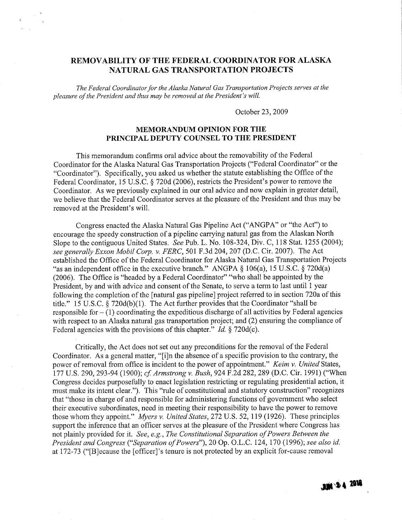# REMOVABILITY OF THE FEDERAL COORDINATOR FOR ALASKA NATURAL GAS TRANSPORTATION PROJECTS

The Federal Coordinator for the Alaska Natural Gas Transportation Projects serves at the pleasure of the President and thus may be removed at the President's wil.

October 23, 2009

## MEMORANDUM OPINION FOR THE PRINCIPAL DEPUTY COUNSEL TO THE PRESIDENT

This memorandum confirms oral advice about the removability of the Federal Coordinator for the Alaska Natural Gas Transportation Projects ("Federal Coordinator" or the "Coordinator"). Specifically, you asked us whether the statute establishing the Office of the Federal Coordinator, 15 U.S.C. § 720d (2006), restricts the President's power to remove the Coordinator. As we previously explained in our oral advice and now explain in greater detail, we believe that the Federal Coordinator serves at the pleasure of the President and thus may be removed at the President's wil.

Congress enacted the Alaska Natural Gas Pipeline Act ("ANGPA" or "the Act") to encourage the speedy construction of a pipeline carrying natural gas from the Alaskan North Slope to the contiguous United States. See Pub. L. No. 108-324, Div. C, 118 Stat. 1255 (2004); see generally Exxon Mobil Corp. v. FERC, 501 F.3d 204,207 (D.C. Cir. 2007). The Act established the Office of the Federal Coordinator for Alaska Natural Gas Transportation Projects "as an independent office in the executive branch." ANGPA § 106(a), 15 U.S.c. § 720d(a) (2006). The Office is "headed by a Federal Coordinator" "who shall be appointed by the President, by and with advice and consent of the Senate, to serve a term to last until 1 year following the completion of the [natural gas pipeline] project referred to in section 720a of this title." 15 U.S.c. § 720d(b)(1). The Act further provides that the Coordinator "shall be responsible for  $- (1)$  coordinating the expeditious discharge of all activities by Federal agencies with respect to an Alaska natural gas transportation project; and (2) ensuring the compliance of Federal agencies with the provisions of this chapter." *Id.*  $\S$  720d(c).

Critically, the Act does not set out any preconditions for the removal of the Federal Coordinator. As a general matter, "(iJn the absence of a specific provision to the contrary, the power of removal from office is incident to the power of appointment." Keim v. United States, 177 U.S. 290, 293-94 (1900); cf. Armstrong v. Bush, 924 F.2d 282, 289 (D.C. Cir. 1991) ("When Congress decides purposefully to enact legislation restricting or regulating presidential action, it must make its intent dear."). This "rule of constitutional and statutory construction" recognizes that "those in charge of and responsible for administering functions of government who select their executive subordinates, need in meeting their responsibility to have the power to remove those whom they appoint." Myers v. United States, 272 U.S. 52, 119 (1926). These principles support the inference that an officer serves at the pleasure of the President where Congress has not plainly provided for it. See, e.g., The Constitutional Separation of Powers Between the President and Congress ("Separation of Powers"), 20 Op. O.L.C. 124, 170 (1996); see also id. at 172-73 ("[B]ecause the [officer]'s tenure is not protected by an explicit for-cause removal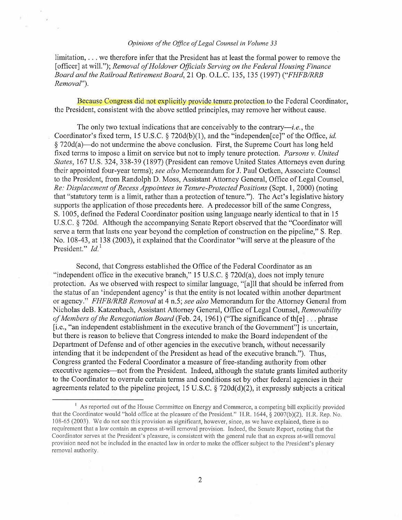### Opinions of the Office of Legal Counsel in Volume 33

K

limitation, . . . we therefore infer that the President has at least the formal power to remove the [officer] at will."); Removal of Holdover Officials Serving on the Federal Housing Finance Board and the Railroad Retirement Board, 21 Gp. O.L.C. 135, 135 (1997) ("FHFB/RRB Removal").

Because Congress did not explicitly provide tenure protection to the Federal Coordinator, the President, consistent with the above settled principles, may remove her without cause.

The only two textual indications that are conceivably to the contrary-i.e., the Coordinator's fixed term, 15 U.S.C.  $\S$  720d(b)(1), and the "independen[ce]" of the Office, *id.*  $§ 720d(a)$ —do not undermine the above conclusion. First, the Supreme Court has long held fixed terms to impose a limit on service but not to imply tenure protection. Parsons v. United States, 167 U.S. 324, 338-39 (1897) (President can remove United States Attorneys even during their appointed four-year terms); see also Memorandum for J. Paul Oetken, Associate Counsel to the President, from Randolph D. Moss, Assistant Attorney General, Office of Legal Counsel, Re: Displacement of Recess Appointees in Tenure-Protected Positions (Sept. 1, 2000) (noting that "statutory term is a limit, rather than a protection of tenure."). The Act's legislative history supports the application of those precedents here. A predecessor bill of the same Congress, S. 1005, defined the Federal Coordinator position using language nearly identical to that in 15 U.S.C. § 720d. Although the accompanying Senate Report observed that the "Coordinator will serve a term that lasts one year beyond the completion of construction on the pipeline," S. Rep. No. 108-43, at 138 (2003), it explained that the Coordinator "will serve at the pleasure of the President."  $Id.$ <sup>1</sup>

Second, that Congress established the Office of the Federal Coordinator as an "independent office in the executive branch," 15 U.S.C.  $\S$  720d(a), does not imply tenure protection. As we observed with respect to similar language, "(aJll that should be inferred from the status of an 'independent agency' is that the entity is not located within another department or agency." FHFB/RRB Removal at 4 n.5; see also Memorandum for the Attorney General from Nicholas deB. Katzenbach, Assistant Attorney General, Office of Legal Counsel, Removability of Members of the Renegotiation Board (Feb. 24, 1961) ("The significance of the  $\vert \cdot \vert$ ... phrase (i.e., "an independent establishment in the executive branch of the Government"J is uncertain, but there is reason to believe that Congress intended to make the Board independent of the Department of Defense and of other agencies in the executive branch, without necessarily intending that it be independent of the President as head of the executive branch."). Thus, Congress granted the Federal Coordinator a measure of free-standing authority from other executive agencies—not from the President. Indeed, although the statute grants limited authority to the Coordinator to overrule certain terms and conditions set by other federal agencies in their agreements related to the pipeline project, 15 U.S.C.  $\S$  720d(d)(2), it expressly subjects a critical

<sup>&</sup>lt;sup>1</sup> As reported out of the House Committee on Energy and Commerce, a competing bill explicitly provided that the Coordinator would "hold office at the pleasure of the President." H.R. 1644, § 2007(b)(2). H.R. Rep. No. 108-65 (2003). We do not see this provision as significant, however, since, as we have explained, there is no requirement that a law contain an express at-will removal provision. Indeed, the Senate Report, noting that the Coordinator serves at the President's pleasure, is consistent with the general rule that an express at-will removal provision need not be included in the enacted law in order to make the officer subject to the President's plenary removal authority.